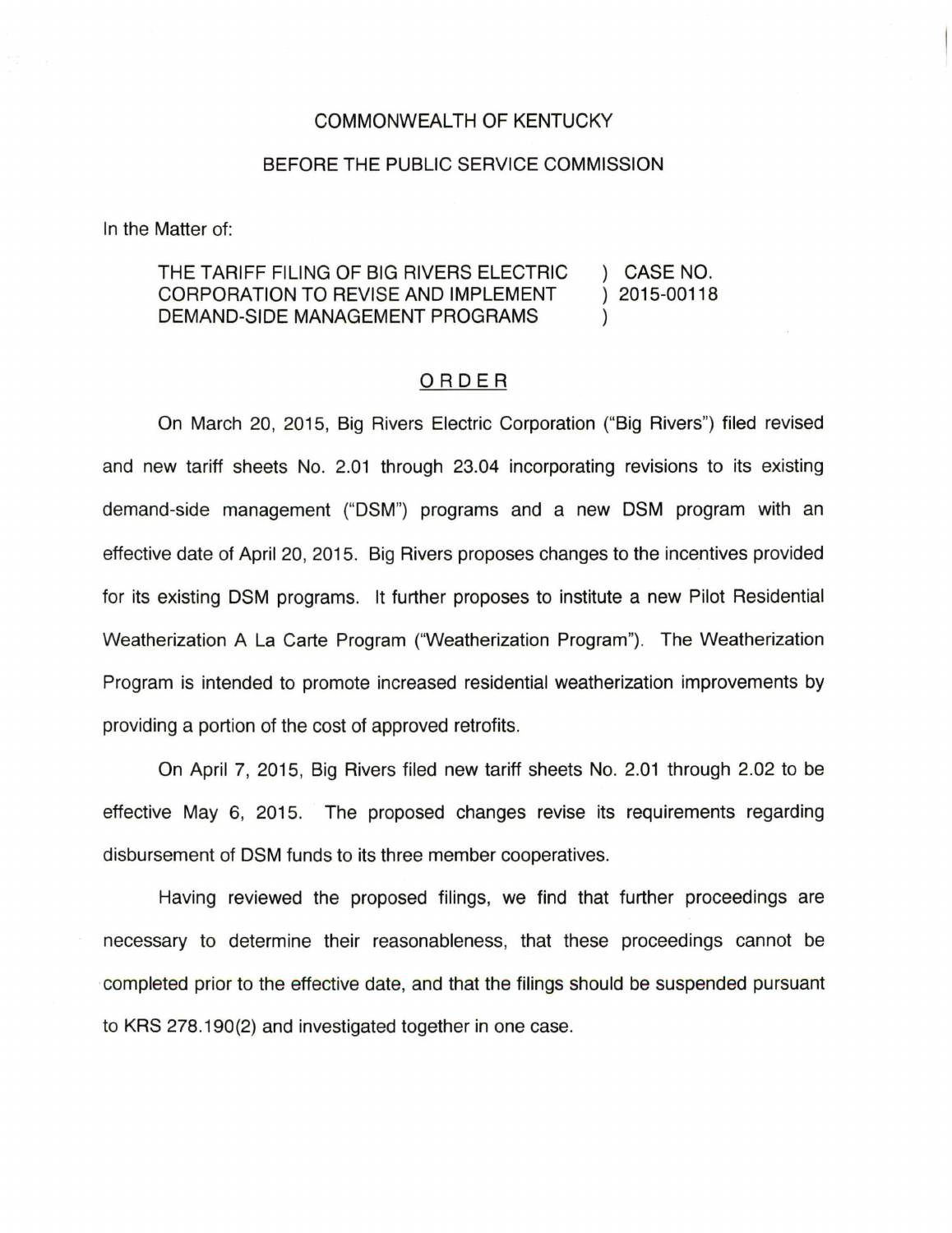## COMMONWEALTH OF KENTUCKY

## BEFORE THE PUBLIC SERVICE COMMISSION

In the Matter of:

## THE TARIFF FILING OF BIG RIVERS ELECTRIC ) CASE NO. CORPORATION TO REVISE AND IMPLEMENT ) 2015-00118 DEMAND-SIDE MANAGEMENT PROGRAMS )

## ORDER

On March 20, 2015, Big Rivers Electric Corporation ("Big Rivers") filed revised and new tariff sheets No. 2.01 through 23.04 incorporating revisions to its existing demand-side management ("DSM") programs and a new DSM program with an effective date of April 20, 2015. Big Rivers proposes changes to the incentives provided for its existing DSM programs. It further proposes to institute a new Pilot Residential Weatherization A La Carte Program ("Weatherization Program"). The Weatherization Program is intended to promote increased residential weatherization improvements by providing a portion of the cost of approved retrofits.

On April 7, 2015, Big Rivers filed new tariff sheets No. 2.01 through 2.02 to be effective May 6, 2015. The proposed changes revise its requirements regarding disbursement of DSM funds to its three member cooperatives.

Having reviewed the proposed filings, we find that further proceedings are necessary to determine their reasonableness, that these proceedings cannot be completed prior to the effective date, and that the filings should be suspended pursuant to KRS 278.190(2) and investigated together in one case.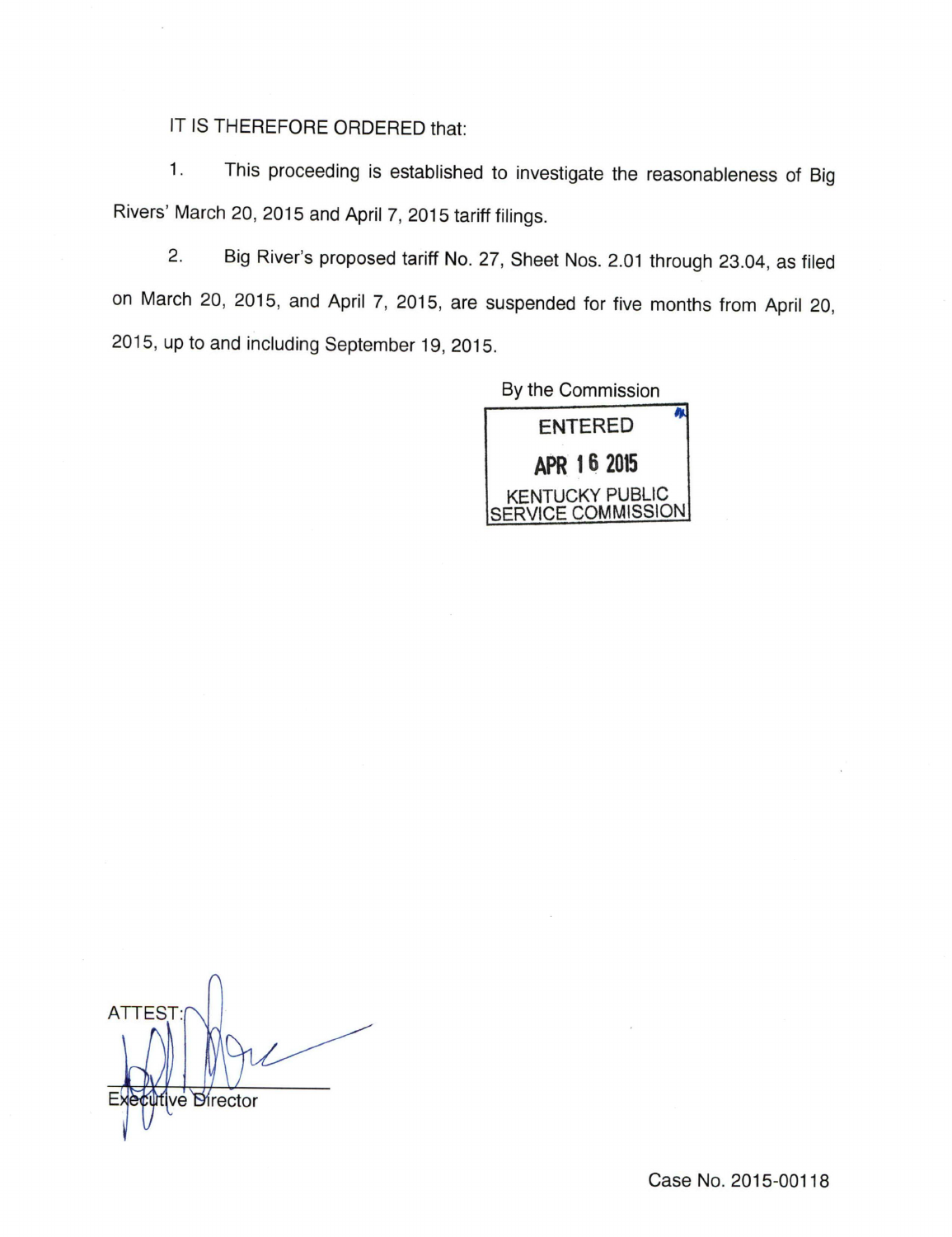IT IS THEREFORE ORDERED that:

1. This proceeding is established to investigate the reasonableness of Big Rivers' March 20, 2015 and April 7, 2015 tariff filings.

2. Big River's proposed tariff No. 27, Sheet Nos. 2.01 through 23.04, as filed on March 20, 2015, and April 7, 2015, are suspended for five months from April 20, 2015, up to and including September 19, 2015.



**ATTES** ve Director